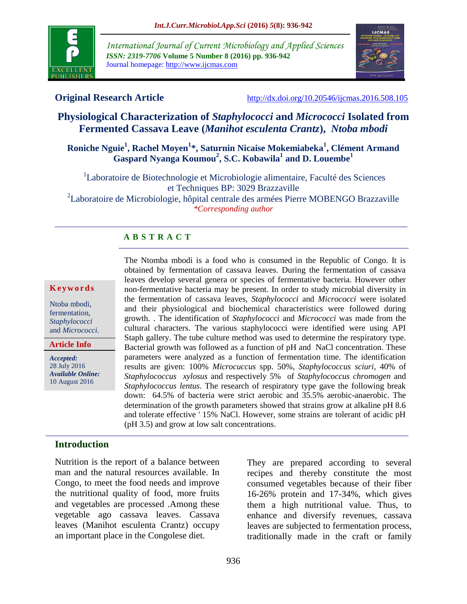

*International Journal of Current Microbiology and Applied Sciences ISSN: 2319-7706* **Volume 5 Number 8 (2016) pp. 936-942** Journal homepage: http://www.ijcmas.com



**Original Research Article** <http://dx.doi.org/10.20546/ijcmas.2016.508.105>

# **Physiological Characterization of** *Staphylococci* **and** *Micrococci* **Isolated from Fermented Cassava Leave (***Manihot esculenta Crantz***),** *Ntoba mbodi*

# **Roniche Nguie<sup>1</sup> , Rachel Moyen<sup>1</sup> \*, Saturnin Nicaise Mokemiabeka<sup>1</sup> , Clément Armand Gaspard Nyanga Koumou<sup>2</sup> , S.C. Kobawila<sup>1</sup> and D. Louembe<sup>1</sup>**

<sup>1</sup>Laboratoire de Biotechnologie et Microbiologie alimentaire, Faculté des Sciences et Techniques BP: 3029 Brazzaville

<sup>2</sup>Laboratoire de Microbiologie, hôpital centrale des armées Pierre MOBENGO Brazzaville *\*Corresponding author*

# **A B S T R A C T**

#### **K e y w o r d s**

Ntoba mbodi, fermentation, *Staphylococci* and *Micrococci*.

**Article Info**

*Accepted:*  28 July 2016 *Available Online:* 10 August 2016

The Ntomba mbodi is a food who is consumed in the Republic of Congo. It is obtained by fermentation of cassava leaves. During the fermentation of cassava leaves develop several genera or species of fermentative bacteria. However other non-fermentative bacteria may be present. In order to study microbial diversity in the fermentation of cassava leaves, *Staphylococci* and *Micrococci* were isolated and their physiological and biochemical characteristics were followed during growth. . The identification of *Staphylococci* and *Micrococci* was made from the cultural characters. The various staphylococci were identified were using API Staph gallery. The tube culture method was used to determine the respiratory type. Bacterial growth was followed as a function of pH and NaCl concentration. These parameters were analyzed as a function of fermentation time. The identification results are given: 100% *Microcuccus* spp. 50%, *Staphylococcus sciuri*, 40% of *Staphylococcus xylosus* and respectively 5% of *Staphylococcus chromogen* and *Staphylococcus lentus*. The research of respiratory type gave the following break down: 64.5% of bacteria were strict aerobic and 35.5% aerobic-anaerobic. The determination of the growth parameters showed that strains grow at alkaline pH 8.6 and tolerate effective ' 15% NaCl. However, some strains are tolerant of acidic pH (pH 3.5) and grow at low salt concentrations.

### **Introduction**

Nutrition is the report of a balance between man and the natural resources available. In Congo, to meet the food needs and improve the nutritional quality of food, more fruits and vegetables are processed .Among these vegetable ago cassava leaves. Cassava leaves (Manihot esculenta Crantz) occupy an important place in the Congolese diet.

They are prepared according to several recipes and thereby constitute the most consumed vegetables because of their fiber 16-26% protein and 17-34%, which gives them a high nutritional value. Thus, to enhance and diversify revenues, cassava leaves are subjected to fermentation process, traditionally made in the craft or family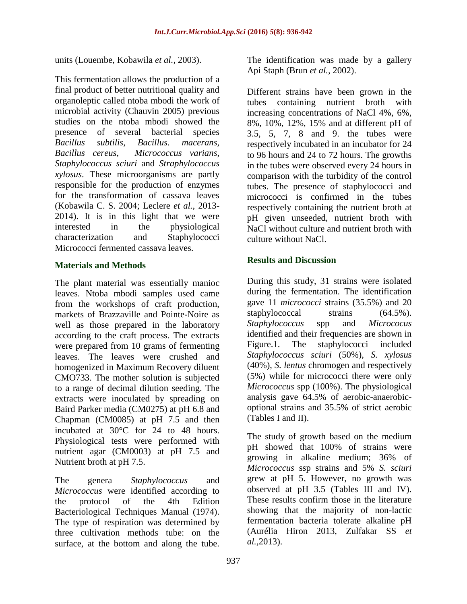units (Louembe, Kobawila *et al.,* 2003).

This fermentation allows the production of a final product of better nutritional quality and organoleptic called ntoba mbodi the work of microbial activity (Chauvin 2005) previous studies on the ntoba mbodi showed the presence of several bacterial species *Bacillus subtilis, Bacillus. macerans, Bacillus cereus, Micrococcus varians*, *Staphylococcus sciuri* and *Straphylococcus xylosus*. These microorganisms are partly responsible for the production of enzymes for the transformation of cassava leaves (Kobawila C. S. 2004; Leclere *et al.,* 2013- 2014). It is in this light that we were interested in the physiological characterization and Staphylococci Micrococci fermented cassava leaves.

# **Materials and Methods**

The plant material was essentially manioc leaves. Ntoba mbodi samples used came from the workshops of craft production, markets of Brazzaville and Pointe-Noire as well as those prepared in the laboratory according to the craft process. The extracts were prepared from 10 grams of fermenting leaves. The leaves were crushed and homogenized in Maximum Recovery diluent CMO733. The mother solution is subjected to a range of decimal dilution seeding. The extracts were inoculated by spreading on Baird Parker media (CM0275) at pH 6.8 and Chapman (CM0085) at pH 7.5 and then incubated at 30°C for 24 to 48 hours. Physiological tests were performed with nutrient agar (CM0003) at pH 7.5 and Nutrient broth at pH 7.5.

The genera *Staphylococcus* and *Micrococcus* were identified according to the protocol of the 4th Edition Bacteriological Techniques Manual (1974). The type of respiration was determined by three cultivation methods tube: on the surface, at the bottom and along the tube.

The identification was made by a gallery Api Staph (Brun *et al.,* 2002).

Different strains have been grown in the tubes containing nutrient broth with increasing concentrations of NaCl 4%, 6%, 8%, 10%, 12%, 15% and at different pH of 3.5, 5, 7, 8 and 9. the tubes were respectively incubated in an incubator for 24 to 96 hours and 24 to 72 hours. The growths in the tubes were observed every 24 hours in comparison with the turbidity of the control tubes. The presence of staphylococci and micrococci is confirmed in the tubes respectively containing the nutrient broth at pH given unseeded, nutrient broth with NaCl without culture and nutrient broth with culture without NaCl.

# **Results and Discussion**

During this study, 31 strains were isolated during the fermentation. The identification gave 11 *micrococci* strains (35.5%) and 20 staphylococcal strains  $(64.5\%)$ . *Staphylococcus* spp and *Micrococus* identified and their frequencies are shown in Figure.1. The staphylococci included *Staphylococcus sciuri* (50%), *S. xylosus* (40%), *S. lentus* chromogen and respectively (5%) while for micrococci there were only *Micrococcus* spp (100%). The physiological analysis gave 64.5% of aerobic-anaerobicoptional strains and 35.5% of strict aerobic (Tables I and II).

The study of growth based on the medium pH showed that 100% of strains were growing in alkaline medium; 36% of *Micrococcus* ssp strains and 5% *S. sciuri* grew at pH 5. However, no growth was observed at pH 3.5 (Tables III and IV). These results confirm those in the literature showing that the majority of non-lactic fermentation bacteria tolerate alkaline pH (Aurélia Hiron 2013, Zulfakar SS *et al.,*2013).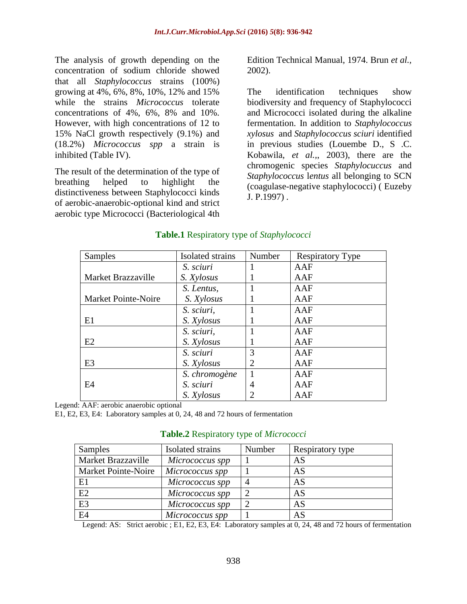The analysis of growth depending on the concentration of sodium chloride showed that all *Staphylococcus* strains (100%) growing at 4%, 6%, 8%, 10%, 12% and 15% while the strains *Micrococcus* tolerate concentrations of 4%, 6%, 8% and 10%. However, with high concentrations of 12 to 15% NaCl growth respectively (9.1%) and (18.2%) *Micrococcus spp* a strain is inhibited (Table IV).

The result of the determination of the type of breathing helped to highlight the distinctiveness between Staphylococci kinds of aerobic-anaerobic-optional kind and strict aerobic type Micrococci (Bacteriological 4th

Edition Technical Manual, 1974. Brun *et al.,* 2002).

The identification techniques show biodiversity and frequency of Staphylococci and Micrococci isolated during the alkaline fermentation. In addition to *Staphylococcus xylosus* and *Staphylococcus sciuri* identified in previous studies (Louembe D., S .C. Kobawila, *et al.,*, 2003), there are the chromogenic species *Staphylocuccus* and *Staphylococcus* l*entus* all belonging to SCN (coagulase-negative staphylococci) ( Euzeby J. P.1997) .

| <b>Samples</b>      | Isolated strains | Number | <b>Respiratory Type</b> |
|---------------------|------------------|--------|-------------------------|
|                     | S. sciuri        |        | AAF                     |
| Market Brazzaville  | S. Xylosus       |        | AAF                     |
|                     | S. Lentus,       |        | AAF                     |
| Market Pointe-Noire | S. Xylosus       |        | AAF                     |
|                     | S. sciuri,       |        | AAF                     |
| E1                  | S. Xylosus       |        | AAF                     |
|                     | S. sciuri,       |        | AAF                     |
| E2                  | S. Xylosus       |        | AAF                     |
|                     | S. sciuri        | 3      | AAF                     |
| E <sub>3</sub>      | S. Xylosus       |        | AAF                     |
|                     | S. chromogène    |        | AAF                     |
| E4                  | S. sciuri        | 4      | AAF                     |
|                     | S. Xylosus       |        | AAF                     |

# **Table.1** Respiratory type of *Staphylococci*

Legend: AAF: aerobic anaerobic optional

E1, E2, E3, E4: Laboratory samples at 0, 24, 48 and 72 hours of fermentation

E2 *Micrococcus spp* 2 AS E3 *Micrococcus spp* 2 AS E4 *Micrococcus spp* | 1 | AS

| Samples                    | Isolated strains | Number | Respiratory type |
|----------------------------|------------------|--------|------------------|
| Market Brazzaville         | Micrococcus spp  |        | AS               |
| <b>Market Pointe-Noire</b> | Micrococcus spp  |        | AS               |
| E1                         | Micrococcus spp  |        | AS               |

### **Table.2** Respiratory type of *Micrococci*

Legend: AS: Strict aerobic ; E1, E2, E3, E4: Laboratory samples at 0, 24, 48 and 72 hours of fermentation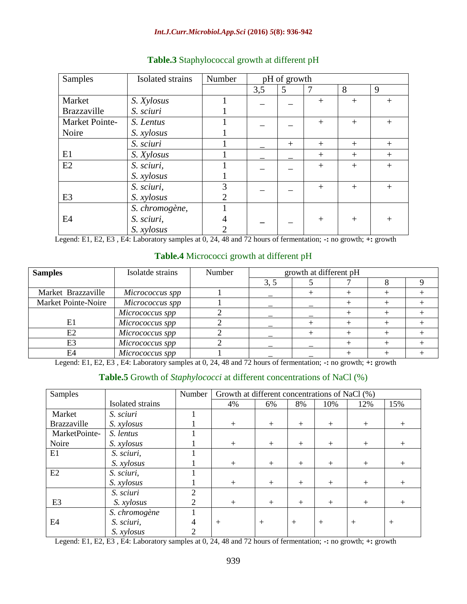#### *Int.J.Curr.Microbiol.App.Sci* **(2016)** *5***(8): 936-942**

| Samples        | Isolated strains | Number                      |     | pH of growth |                |        |        |
|----------------|------------------|-----------------------------|-----|--------------|----------------|--------|--------|
|                |                  |                             | 3,5 | 5            | $\overline{7}$ | 8      | 9      |
| Market         | S. Xylosus       |                             |     |              | $+$            | $^{+}$ | $^{+}$ |
| Brazzaville    | S. sciuri        |                             |     |              |                |        |        |
| Market Pointe- | S. Lentus        |                             |     |              | $^{+}$         | $^{+}$ | $^{+}$ |
| Noire          | S. xylosus       |                             |     |              |                |        |        |
|                | S. sciuri        |                             |     | $+$          | $^{+}$         | $^{+}$ | $^{+}$ |
| E1             | S. Xylosus       |                             |     |              | $^{+}$         | $^{+}$ | $+$    |
| E2             | S. sciuri,       |                             |     |              | $^{+}$         | $^{+}$ | $+$    |
|                | S. xylosus       |                             |     |              |                |        |        |
|                | S. sciuri,       | 3                           |     |              | $+$            | $^{+}$ | $^{+}$ |
| E <sub>3</sub> | S. xylosus       | 2                           |     |              |                |        |        |
|                | S. chromogène,   |                             |     |              |                |        |        |
| E4             | S. sciuri,       | 4                           |     |              | $^{+}$         | $^{+}$ | $^{+}$ |
|                | S. xylosus       | $\mathcal{D}_{\mathcal{A}}$ |     |              |                |        |        |

# **Table.3** Staphylococcal growth at different pH

Legend: E1, E2, E3 , E4: Laboratory samples at 0, 24, 48 and 72 hours of fermentation; **-:** no growth; **+:** growth

## **Table.4** Micrococci growth at different pH

| <b>Samples</b>      | Isolatde strains | Number | growth at different pH |  |  |  |  |
|---------------------|------------------|--------|------------------------|--|--|--|--|
|                     |                  |        | 3, 5                   |  |  |  |  |
| Market Brazzaville  | Micrococcus spp  |        |                        |  |  |  |  |
| Market Pointe-Noire | Micrococcus spp  |        |                        |  |  |  |  |
|                     | Micrococcus spp  |        |                        |  |  |  |  |
| E1                  | Micrococcus spp  |        |                        |  |  |  |  |
| E2                  | Micrococcus spp  |        |                        |  |  |  |  |
| E3                  | Micrococcus spp  |        |                        |  |  |  |  |
| E4                  | Micrococcus spp  |        |                        |  |  |  |  |

Legend: E1, E2, E3 , E4: Laboratory samples at 0, 24, 48 and 72 hours of fermentation; **-:** no growth; **+:** growth

## **Table.5** Growth of *Staphylococci* at different concentrations of NaCl (%)

| Samples            |                  | Number         | Growth at different concentrations of NaCl (%) |     |        |        |     |        |
|--------------------|------------------|----------------|------------------------------------------------|-----|--------|--------|-----|--------|
|                    | Isolated strains |                | 4%                                             | 6%  | 8%     | 10%    | 12% | 15%    |
| Market             | S. sciuri        |                |                                                |     |        |        |     |        |
| <b>Brazzaville</b> | S. xylosus       |                | $+$                                            | $+$ | $^{+}$ | $+$    | $+$ | $^{+}$ |
| MarketPointe-      | S. lentus        |                |                                                |     |        |        |     |        |
| Noire              | S. xylosus       |                | $+$                                            | $+$ | $+$    | $+$    | $+$ | $+$    |
| E1                 | S. sciuri,       |                |                                                |     |        |        |     |        |
|                    | S. xylosus       |                | $+$                                            | $+$ | $+$    | $+$    | $+$ | $+$    |
| E2                 | S. sciuri,       |                |                                                |     |        |        |     |        |
|                    | S. xylosus       |                | $+$                                            | $+$ | $+$    | $+$    | $+$ | $+$    |
|                    | S. sciuri        | $\overline{c}$ |                                                |     |        |        |     |        |
| E <sub>3</sub>     | S. xylosus       | റ              | $+$                                            | $+$ | $+$    | $+$    | $+$ | $+$    |
|                    | S. chromogène    |                |                                                |     |        |        |     |        |
| E4                 | S. sciuri,       | 4              | $+$                                            | $+$ | $+$    | $^{+}$ | $+$ | $^{+}$ |
|                    | S. xylosus       | 2              |                                                |     |        |        |     |        |

Legend: E1, E2, E3 , E4: Laboratory samples at 0, 24, 48 and 72 hours of fermentation; **-:** no growth; **+:** growth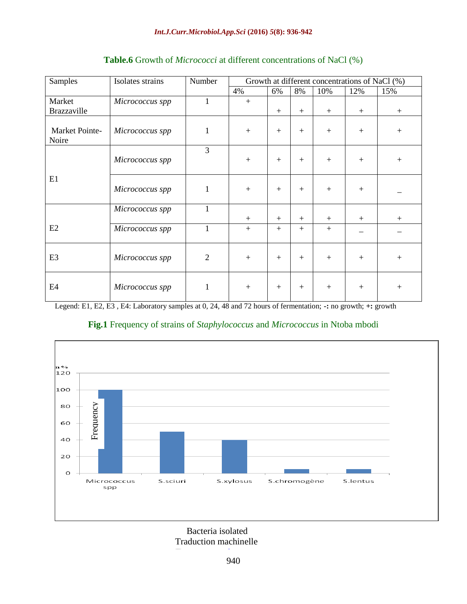| Samples                 | Isolates strains | Number         | Growth at different concentrations of NaCl (%) |     |     |     |        |        |
|-------------------------|------------------|----------------|------------------------------------------------|-----|-----|-----|--------|--------|
|                         |                  |                | 4%                                             | 6%  | 8%  | 10% | 12%    | 15%    |
| Market                  | Micrococcus spp  | $\mathbf{1}$   | $+$                                            |     |     |     |        |        |
| Brazzaville             |                  |                |                                                | $+$ | $+$ | $+$ | $^{+}$ | $+$    |
| Market Pointe-<br>Noire | Micrococcus spp  | $\mathbf{1}$   | $+$                                            | $+$ | $+$ | $+$ | $+$    | $+$    |
|                         | Micrococcus spp  | 3              | $+$                                            | $+$ | $+$ | $+$ | $+$    | $+$    |
| E1                      | Micrococcus spp  | $\mathbf{1}$   | $+$                                            | $+$ | $+$ | $+$ | $+$    |        |
|                         | Micrococcus spp  | $\mathbf{1}$   | $+$                                            | $+$ | $+$ | $+$ | $+$    | $^{+}$ |
| E2                      | Micrococcus spp  | 1              | $+$                                            | $+$ | $+$ | $+$ |        |        |
| E3                      | Micrococcus spp  | $\overline{2}$ | $+$                                            | $+$ | $+$ | $+$ | $+$    | $+$    |
| E4                      | Micrococcus spp  | $\mathbf{1}$   | $+$                                            | $+$ | $+$ | $+$ | $+$    | $+$    |

# **Table.6** Growth of *Micrococci* at different concentrations of NaCl (%)

Legend: E1, E2, E3 , E4: Laboratory samples at 0, 24, 48 and 72 hours of fermentation; **-:** no growth; **+:** growth



# **Fig.1** Frequency of strains of *Staphylococcus* and *Micrococcus* in Ntoba mbodi

 Bacteria isolated Traduction machinelle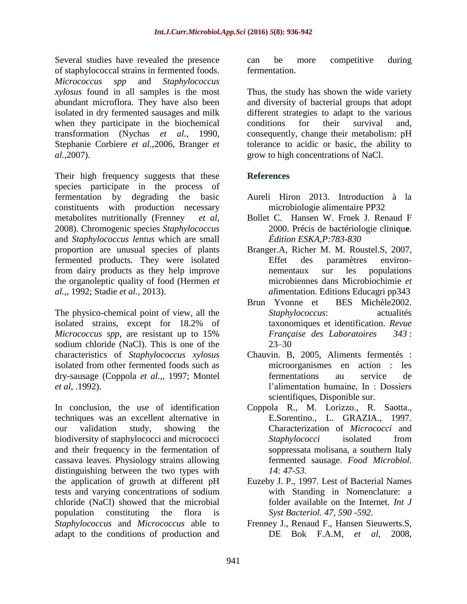Several studies have revealed the presence of staphylococcal strains in fermented foods. *Micrococcus spp* and *Staphylococcus xylosus* found in all samples is the most abundant microflora. They have also been isolated in dry fermented sausages and milk when they participate in the biochemical transformation (Nychas *et al.,* 1990, Stephanie Corbiere *et al.,*2006, Branger *et al.,*2007).

Their high frequency suggests that these species participate in the process of fermentation by degrading the basic constituents with production necessary metabolites nutritionally (Frenney *et al*, 2008). Chromogenic species *Staphylococcus* and *Staphylococcus lentus* which are small proportion are unusual species of plants fermented products. They were isolated from dairy products as they help improve the organoleptic quality of food (Hermen *et al.,*, 1992; Stadie *et al.,* 2013).

The physico-chemical point of view, all the isolated strains, except for 18.2% of *Micrococcus spp*, are resistant up to 15% sodium chloride (NaCl). This is one of the characteristics of *Staphylococcus xylosus* isolated from other fermented foods such as dry-sausage (Coppola *et al.,*, 1997; Montel *et al*, .1992).

In conclusion, the use of identification techniques was an excellent alternative in our validation study, showing the biodiversity of staphylococci and micrococci and their frequency in the fermentation of cassava leaves. Physiology strains allowing distinguishing between the two types with the application of growth at different pH tests and varying concentrations of sodium chloride (NaCl) showed that the microbial population constituting the flora is *Staphylococcus* and *Micrococcus* able to adapt to the conditions of production and

can be more competitive during fermentation.

Thus, the study has shown the wide variety and diversity of bacterial groups that adopt different strategies to adapt to the various conditions for their survival and, consequently, change their metabolism: pH tolerance to acidic or basic, the ability to grow to high concentrations of NaCl.

# **References**

- Aureli Hiron 2013. Introduction à la microbiologie alimentaire PP32
- Bollet C. Hansen W. Frnek J. Renaud F 2000. Précis de bactériologie cliniqu**e***. Édition ESKA,P:783-830*
- Branger.A, Richer M. M. Roustel.S, 2007, Effet des paramètres environnementaux sur les populations microbiennes dans Microbiochimie *et al*imentation. Editions Educagri pp343
- Brun Yvonne et BES Michèle2002. *Staphylococcus*: actualités taxonomiques et identification. *[Revue](http://www.sciencedirect.com/science/journal/03389898)  [Française des Laboratoires](http://www.sciencedirect.com/science/journal/03389898) [343](http://www.sciencedirect.com/science/journal/03389898/2002/343)* : 23–30
- Chauvin. B, 2005, Aliments fermentés : microorganismes en action : les fermentations au service de l'alimentation humaine, In : Dossiers scientifiques, Disponible sur.
- Coppola R., M. Lorizzo., R. Saotta., E.Sorentino., L. GRAZIA., 1997. Characterization of *Micrococci* and *Staphylococci* isolated from soppressata molisana, a southern Italy fermented sausage. *Food Microbiol. 14: 47-53.*
- Euzeby J. P., 1997. Lest of Bacterial Names with Standing in Nomenclature: a folder available on the Internet*. Int J Syst Bacteriol. 47, 590 -592.*
- Frenney J., Renaud F., Hansen Sieuwerts.S, DE Bok F.A.M, *et al*, 2008,